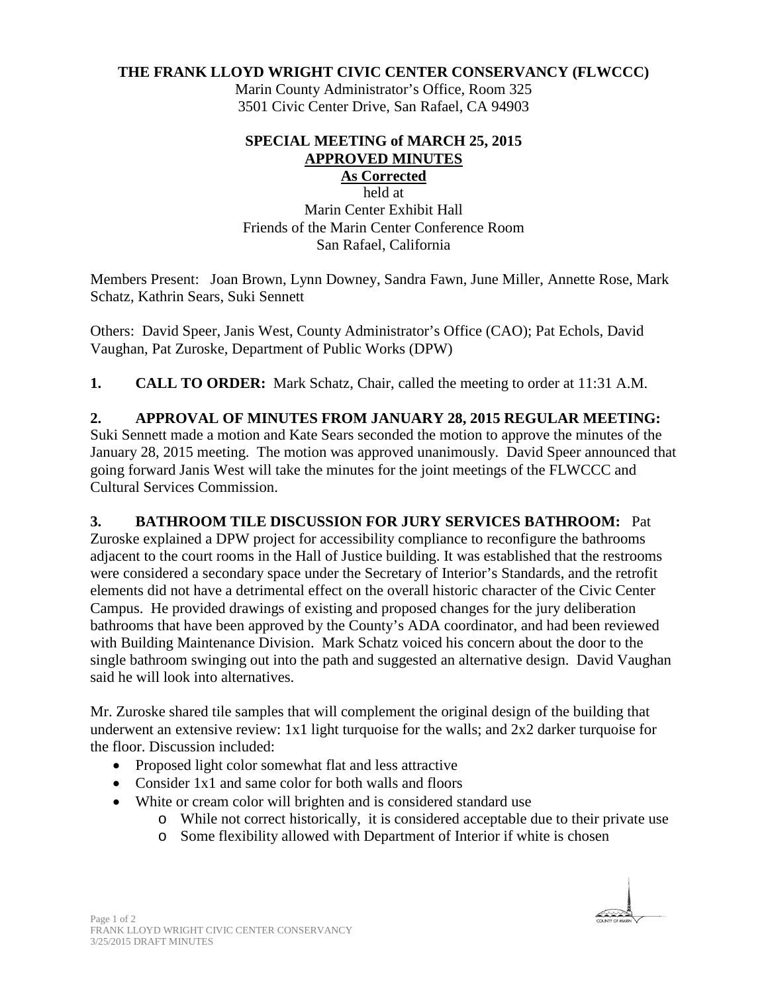## **THE FRANK LLOYD WRIGHT CIVIC CENTER CONSERVANCY (FLWCCC)**

Marin County Administrator's Office, Room 325 3501 Civic Center Drive, San Rafael, CA 94903

#### **SPECIAL MEETING of MARCH 25, 2015 APPROVED MINUTES As Corrected**

### held at

Marin Center Exhibit Hall Friends of the Marin Center Conference Room San Rafael, California

Members Present: Joan Brown, Lynn Downey, Sandra Fawn, June Miller, Annette Rose, Mark Schatz, Kathrin Sears, Suki Sennett

Others: David Speer, Janis West, County Administrator's Office (CAO); Pat Echols, David Vaughan, Pat Zuroske, Department of Public Works (DPW)

**1. CALL TO ORDER:** Mark Schatz, Chair, called the meeting to order at 11:31 A.M.

## **2. APPROVAL OF MINUTES FROM JANUARY 28, 2015 REGULAR MEETING:**

Suki Sennett made a motion and Kate Sears seconded the motion to approve the minutes of the January 28, 2015 meeting. The motion was approved unanimously. David Speer announced that going forward Janis West will take the minutes for the joint meetings of the FLWCCC and Cultural Services Commission.

## **3. BATHROOM TILE DISCUSSION FOR JURY SERVICES BATHROOM:** Pat

Zuroske explained a DPW project for accessibility compliance to reconfigure the bathrooms adjacent to the court rooms in the Hall of Justice building. It was established that the restrooms were considered a secondary space under the Secretary of Interior's Standards, and the retrofit elements did not have a detrimental effect on the overall historic character of the Civic Center Campus. He provided drawings of existing and proposed changes for the jury deliberation bathrooms that have been approved by the County's ADA coordinator, and had been reviewed with Building Maintenance Division. Mark Schatz voiced his concern about the door to the single bathroom swinging out into the path and suggested an alternative design. David Vaughan said he will look into alternatives.

Mr. Zuroske shared tile samples that will complement the original design of the building that underwent an extensive review: 1x1 light turquoise for the walls; and 2x2 darker turquoise for the floor. Discussion included:

- Proposed light color somewhat flat and less attractive
- Consider 1x1 and same color for both walls and floors
- White or cream color will brighten and is considered standard use
	- o While not correct historically, it is considered acceptable due to their private use
	- o Some flexibility allowed with Department of Interior if white is chosen